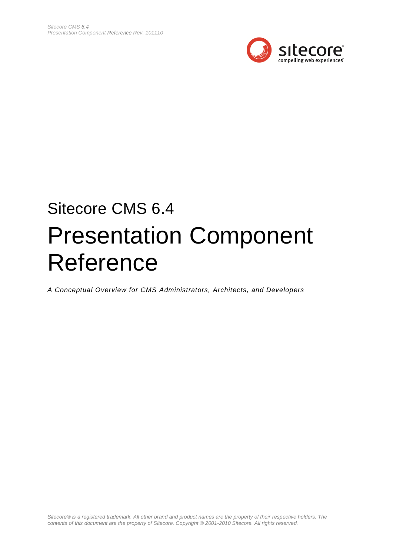

# Sitecore CMS 6.4 Presentation Component Reference

*A Conceptual Overview for CMS Administrators, Architects, and Developers*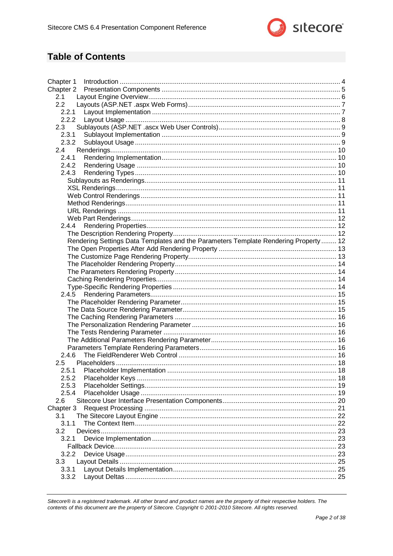

### **Table of Contents**

| Chapter 1     |                                                                                      |    |
|---------------|--------------------------------------------------------------------------------------|----|
|               |                                                                                      |    |
| 2.1           |                                                                                      |    |
| 2.2           |                                                                                      |    |
|               |                                                                                      |    |
|               |                                                                                      |    |
| 2.3           |                                                                                      |    |
| 2.3.1         |                                                                                      |    |
| 2.3.2         |                                                                                      |    |
| 2.4           |                                                                                      |    |
| 2.4.1         |                                                                                      |    |
| 2.4.2         |                                                                                      |    |
| 2.4.3         |                                                                                      |    |
|               |                                                                                      |    |
|               |                                                                                      |    |
|               |                                                                                      |    |
|               |                                                                                      |    |
|               |                                                                                      |    |
|               |                                                                                      |    |
| 2.4.4         |                                                                                      |    |
|               |                                                                                      |    |
|               | Rendering Settings Data Templates and the Parameters Template Rendering Property  12 |    |
|               |                                                                                      |    |
|               |                                                                                      |    |
|               |                                                                                      |    |
|               |                                                                                      |    |
|               |                                                                                      |    |
|               |                                                                                      |    |
|               |                                                                                      |    |
|               |                                                                                      |    |
|               |                                                                                      |    |
|               |                                                                                      |    |
|               |                                                                                      |    |
|               |                                                                                      |    |
|               |                                                                                      |    |
|               |                                                                                      |    |
| 2.4.6         |                                                                                      |    |
| $2.5^{\circ}$ |                                                                                      |    |
|               |                                                                                      |    |
| 2.5.2         |                                                                                      |    |
| 2.5.3         |                                                                                      |    |
| 2.5.4         |                                                                                      |    |
| 2.6           |                                                                                      |    |
| Chapter 3     |                                                                                      |    |
| 3.1           |                                                                                      |    |
| 3.1.1         |                                                                                      | 22 |
| 3.2           |                                                                                      | 23 |
| 3.2.1         |                                                                                      | 23 |
|               |                                                                                      |    |
| 3.2.2         |                                                                                      |    |
| 3.3           |                                                                                      |    |
| 3.3.1         |                                                                                      |    |
| 3.3.2         |                                                                                      |    |
|               |                                                                                      |    |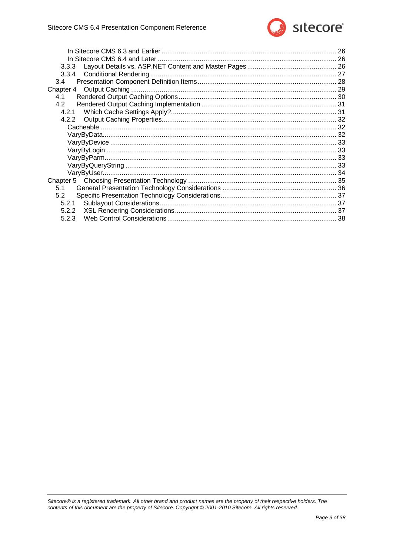

| 3.4   |  |
|-------|--|
|       |  |
| 4.1   |  |
| 4.2   |  |
|       |  |
|       |  |
|       |  |
|       |  |
|       |  |
|       |  |
|       |  |
|       |  |
|       |  |
|       |  |
| 5.1   |  |
| 5.2   |  |
| 5.2.1 |  |
| 5.2.2 |  |
| 5.2.3 |  |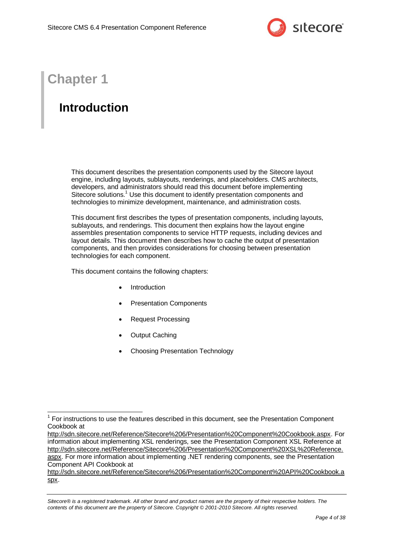

# **Chapter 1**

-

# <span id="page-3-0"></span>**Introduction**

This document describes the presentation components used by the Sitecore layout engine, including layouts, sublayouts, renderings, and placeholders. CMS architects, developers, and administrators should read this document before implementing Sitecore solutions.<sup>1</sup> Use this document to identify presentation components and technologies to minimize development, maintenance, and administration costs.

This document first describes the types of presentation components, including layouts, sublayouts, and renderings. This document then explains how the layout engine assembles presentation components to service HTTP requests, including devices and layout details. This document then describes how to cache the output of presentation components, and then provides considerations for choosing between presentation technologies for each component.

This document contains the following chapters:

- [Introduction](#page-3-0)
- [Presentation Components](#page-4-0)
- [Request Processing](#page-20-0)
- [Output Caching](#page-28-0)
- [Choosing Presentation Technology](#page-34-0)

[http://sdn.sitecore.net/Reference/Sitecore%206/Presentation%20Component%20Cookbook.aspx.](http://sdn.sitecore.net/Reference/Sitecore%206/Presentation%20Component%20Cookbook.aspx) For information about implementing XSL renderings, see the Presentation Component XSL Reference at [http://sdn.sitecore.net/Reference/Sitecore%206/Presentation%20Component%20XSL%20Reference.](http://sdn.sitecore.net/Reference/Sitecore%206/Presentation%20Component%20XSL%20Reference.aspx) [aspx.](http://sdn.sitecore.net/Reference/Sitecore%206/Presentation%20Component%20XSL%20Reference.aspx) For more information about implementing .NET rendering components, see the Presentation Component API Cookbook at

<sup>1</sup> For instructions to use the features described in this document, see the Presentation Component Cookbook at

[http://sdn.sitecore.net/Reference/Sitecore%206/Presentation%20Component%20API%20Cookbook.a](http://sdn.sitecore.net/Reference/Sitecore%206/Presentation%20Component%20API%20Cookbook.aspx) [spx.](http://sdn.sitecore.net/Reference/Sitecore%206/Presentation%20Component%20API%20Cookbook.aspx)

*Sitecore® is a registered trademark. All other brand and product names are the property of their respective holders. The contents of this document are the property of Sitecore. Copyright © 2001-2010 Sitecore. All rights reserved.*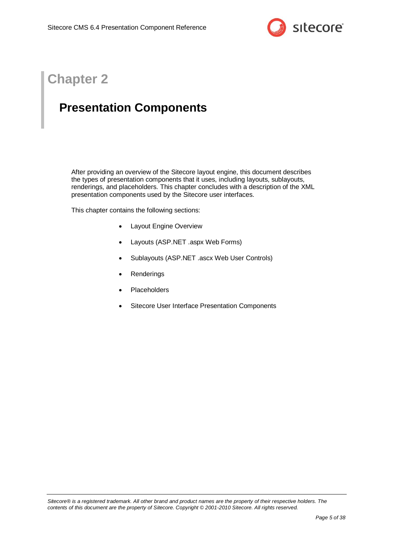

# **Chapter 2**

# <span id="page-4-0"></span>**Presentation Components**

After providing an overview of the Sitecore layout engine, this document describes the types of presentation components that it uses, including layouts, sublayouts, renderings, and placeholders. This chapter concludes with a description of the XML presentation components used by the Sitecore user interfaces.

This chapter contains the following sections:

- [Layout Engine Overview](#page-5-0)
- [Layouts \(ASP.NET .aspx Web](#page-6-0) Forms)
- [Sublayouts \(ASP.NET .ascx Web](#page-8-0) User Controls)
- **[Renderings](#page-9-0)**
- [Placeholders](#page-17-0)
- [Sitecore User Interface Presentation Components](#page-19-0)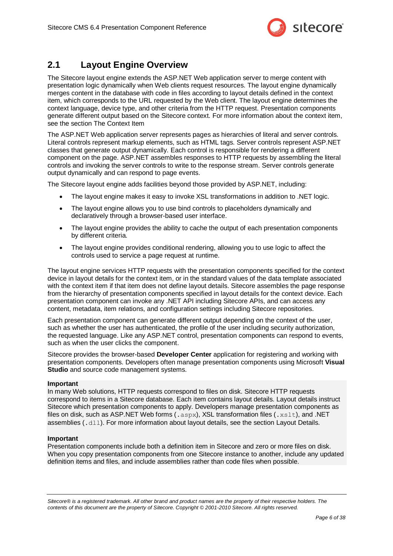

### <span id="page-5-0"></span>**2.1 Layout Engine Overview**

The Sitecore layout engine extends the ASP.NET Web application server to merge content with presentation logic dynamically when Web clients request resources. The layout engine dynamically merges content in the database with code in files according to layout details defined in the context item, which corresponds to the URL requested by the Web client. The layout engine determines the context language, device type, and other criteria from the HTTP request. Presentation components generate different output based on the Sitecore context. For more information about the context item, see the section [The Context Item](#page-21-1)

The ASP.NET Web application server represents pages as hierarchies of literal and server controls. Literal controls represent markup elements, such as HTML tags. Server controls represent ASP.NET classes that generate output dynamically. Each control is responsible for rendering a different component on the page. ASP.NET assembles responses to HTTP requests by assembling the literal controls and invoking the server controls to write to the response stream. Server controls generate output dynamically and can respond to page events.

The Sitecore layout engine adds facilities beyond those provided by ASP.NET, including:

- The layout engine makes it easy to invoke XSL transformations in addition to .NET logic.
- The layout engine allows you to use bind controls to placeholders dynamically and declaratively through a browser-based user interface.
- The layout engine provides the ability to cache the output of each presentation components by different criteria.
- The layout engine provides conditional rendering, allowing you to use logic to affect the controls used to service a page request at runtime.

The layout engine services HTTP requests with the presentation components specified for the context device in layout details for the context item, or in the standard values of the data template associated with the context item if that item does not define layout details. Sitecore assembles the page response from the hierarchy of presentation components specified in layout details for the context device. Each presentation component can invoke any .NET API including Sitecore APIs, and can access any content, metadata, item relations, and configuration settings including Sitecore repositories.

Each presentation component can generate different output depending on the context of the user, such as whether the user has authenticated, the profile of the user including security authorization, the requested language. Like any ASP.NET control, presentation components can respond to events, such as when the user clicks the component.

Sitecore provides the browser-based **Developer Center** application for registering and working with presentation components. Developers often manage presentation components using Microsoft **Visual Studio** and source code management systems.

#### **Important**

In many Web solutions, HTTP requests correspond to files on disk. Sitecore HTTP requests correspond to items in a Sitecore database. Each item contains layout details. Layout details instruct Sitecore which presentation components to apply. Developers manage presentation components as files on disk, such as ASP.NET Web forms  $(.aspx)$ , XSL transformation files  $(.xst)$ , and .NET assemblies (.dll). For more information about layout details, see the section [Layout Details.](#page-24-0)

#### **Important**

Presentation components include both a definition item in Sitecore and zero or more files on disk. When you copy presentation components from one Sitecore instance to another, include any updated definition items and files, and include assemblies rather than code files when possible.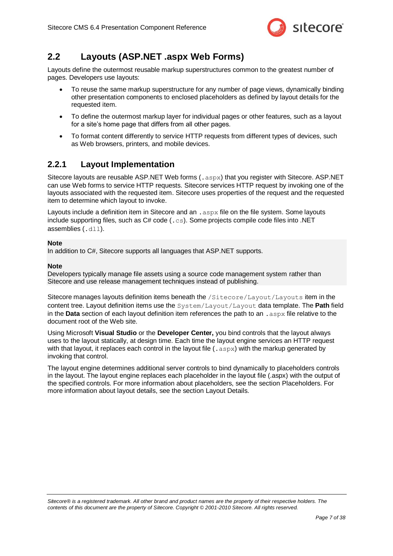

### <span id="page-6-0"></span>**2.2 Layouts (ASP.NET .aspx Web Forms)**

Layouts define the outermost reusable markup superstructures common to the greatest number of pages. Developers use layouts:

- To reuse the same markup superstructure for any number of page views, dynamically binding other presentation components to enclosed placeholders as defined by layout details for the requested item.
- To define the outermost markup layer for individual pages or other features, such as a layout for a site's home page that differs from all other pages.
- To format content differently to service HTTP requests from different types of devices, such as Web browsers, printers, and mobile devices.

### <span id="page-6-1"></span>**2.2.1 Layout Implementation**

Sitecore layouts are reusable ASP.NET Web forms (.aspx) that you register with Sitecore. ASP.NET can use Web forms to service HTTP requests. Sitecore services HTTP request by invoking one of the layouts associated with the requested item. Sitecore uses properties of the request and the requested item to determine which layout to invoke.

Layouts include a definition item in Sitecore and an . aspx file on the file system. Some layouts include supporting files, such as  $C# code$  ( $, cs$ ). Some projects compile code files into .NET assemblies (.dll).

#### **Note**

In addition to C#, Sitecore supports all languages that ASP.NET supports.

#### **Note**

Developers typically manage file assets using a source code management system rather than Sitecore and use release management techniques instead of publishing.

Sitecore manages layouts definition items beneath the /Sitecore/Layout/Layouts item in the content tree. Layout definition items use the System/Layout/Layout data template. The **Path** field in the **Data** section of each layout definition item references the path to an .aspx file relative to the document root of the Web site.

Using Microsoft **Visual Studio** or the **Developer Center,** you bind controls that the layout always uses to the layout statically, at design time. Each time the layout engine services an HTTP request with that layout, it replaces each control in the layout file  $(0.88)$  with the markup generated by invoking that control.

The layout engine determines additional server controls to bind dynamically to placeholders controls in the layout. The layout engine replaces each placeholder in the layout file (.aspx) with the output of the specified controls. For more information about placeholders, see the section [Placeholders.](#page-17-0) For more information about layout details, see the section [Layout Details.](#page-24-0)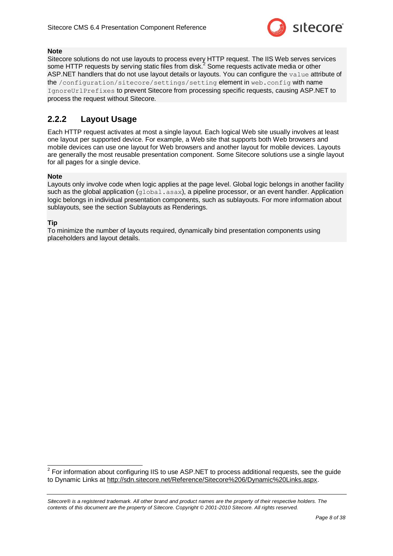

#### **Note**

Sitecore solutions do not use layouts to process every HTTP request. The IIS Web serves services some HTTP requests by serving static files from disk.<sup>2</sup> Some requests activate media or other ASP.NET handlers that do not use layout details or layouts. You can configure the value attribute of the /configuration/sitecore/settings/setting element in web.config with name IgnoreUrlPrefixes to prevent Sitecore from processing specific requests, causing ASP.NET to process the request without Sitecore.

### <span id="page-7-0"></span>**2.2.2 Layout Usage**

Each HTTP request activates at most a single layout. Each logical Web site usually involves at least one layout per supported device. For example, a Web site that supports both Web browsers and mobile devices can use one layout for Web browsers and another layout for mobile devices. Layouts are generally the most reusable presentation component. Some Sitecore solutions use a single layout for all pages for a single device.

#### **Note**

Layouts only involve code when logic applies at the page level. Global logic belongs in another facility such as the global application (qlobal.asax), a pipeline processor, or an event handler. Application logic belongs in individual presentation components, such as sublayouts. For more information about sublayouts, see the section [Sublayouts as Renderings.](#page-10-0)

#### **Tip**

To minimize the number of layouts required, dynamically bind presentation components using placeholders and layout details.

 2 For information about configuring IIS to use ASP.NET to process additional requests, see the guide to Dynamic Links at [http://sdn.sitecore.net/Reference/Sitecore%206/Dynamic%20Links.aspx.](http://sdn.sitecore.net/Reference/Sitecore%206/Dynamic%20Links.aspx)

*Sitecore® is a registered trademark. All other brand and product names are the property of their respective holders. The contents of this document are the property of Sitecore. Copyright © 2001-2010 Sitecore. All rights reserved.*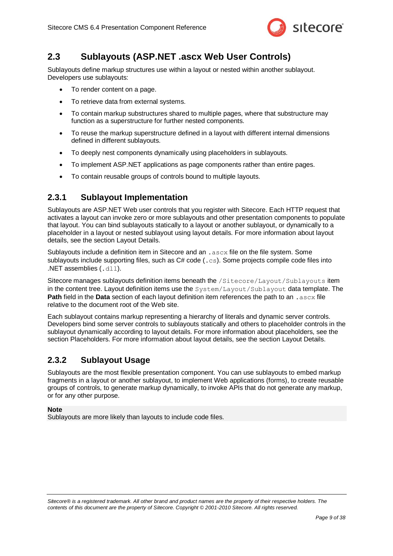

### <span id="page-8-0"></span>**2.3 Sublayouts (ASP.NET .ascx Web User Controls)**

Sublayouts define markup structures use within a layout or nested within another sublayout. Developers use sublayouts:

- To render content on a page.
- To retrieve data from external systems.
- To contain markup substructures shared to multiple pages, where that substructure may function as a superstructure for further nested components.
- To reuse the markup superstructure defined in a layout with different internal dimensions defined in different sublayouts.
- To deeply nest components dynamically using placeholders in sublayouts.
- To implement ASP.NET applications as page components rather than entire pages.
- To contain reusable groups of controls bound to multiple layouts.

### <span id="page-8-1"></span>**2.3.1 Sublayout Implementation**

Sublayouts are ASP.NET Web user controls that you register with Sitecore. Each HTTP request that activates a layout can invoke zero or more sublayouts and other presentation components to populate that layout. You can bind sublayouts statically to a layout or another sublayout, or dynamically to a placeholder in a layout or nested sublayout using layout details. For more information about layout details, see the section [Layout Details.](#page-24-0)

Sublayouts include a definition item in Sitecore and an . ascx file on the file system. Some sublayouts include supporting files, such as  $C# \text{ code } (0.05)$ . Some projects compile code files into .NET assemblies (.dll).

Sitecore manages sublayouts definition items beneath the /Sitecore/Layout/Sublayouts item in the content tree. Layout definition items use the System/Layout/Sublayout data template. The **Path** field in the **Data** section of each layout definition item references the path to an .ascx file relative to the document root of the Web site.

Each sublayout contains markup representing a hierarchy of literals and dynamic server controls. Developers bind some server controls to sublayouts statically and others to placeholder controls in the sublayout dynamically according to layout details. For more information about placeholders, see the section [Placeholders.](#page-17-0) For more information about layout details, see the section [Layout Details.](#page-24-0)

### <span id="page-8-2"></span>**2.3.2 Sublayout Usage**

Sublayouts are the most flexible presentation component. You can use sublayouts to embed markup fragments in a layout or another sublayout, to implement Web applications (forms), to create reusable groups of controls, to generate markup dynamically, to invoke APIs that do not generate any markup, or for any other purpose.

#### **Note**

Sublayouts are more likely than layouts to include code files.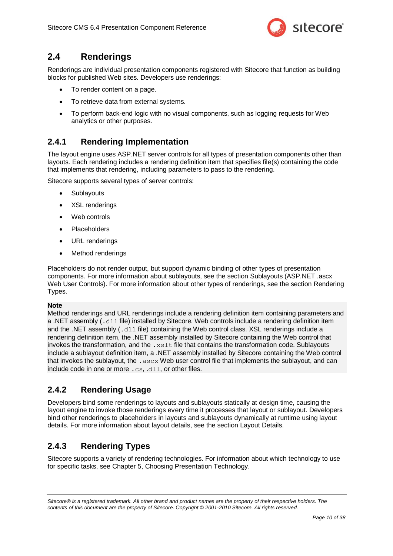

### <span id="page-9-0"></span>**2.4 Renderings**

Renderings are individual presentation components registered with Sitecore that function as building blocks for published Web sites. Developers use renderings:

- To render content on a page.
- To retrieve data from external systems.
- To perform back-end logic with no visual components, such as logging requests for Web analytics or other purposes.

### <span id="page-9-1"></span>**2.4.1 Rendering Implementation**

The layout engine uses ASP.NET server controls for all types of presentation components other than layouts. Each rendering includes a rendering definition item that specifies file(s) containing the code that implements that rendering, including parameters to pass to the rendering.

Sitecore supports several types of server controls:

- **Sublayouts**
- XSL renderings
- Web controls
- Placeholders
- URL renderings
- Method renderings

Placeholders do not render output, but support dynamic binding of other types of presentation components. For more information about sublayouts, see the section [Sublayouts \(ASP.NET .ascx](#page-8-0)  Web [User Controls\).](#page-8-0) For more information about other types of renderings, see the section [Rendering](#page-9-3)  [Types.](#page-9-3)

#### **Note**

Method renderings and URL renderings include a rendering definition item containing parameters and a .NET assembly (, dll file) installed by Sitecore. Web controls include a rendering definition item and the .NET assembly (.dll file) containing the Web control class. XSL renderings include a rendering definition item, the .NET assembly installed by Sitecore containing the Web control that invokes the transformation, and the  $. x s 1 t$  file that contains the transformation code. Sublayouts include a sublayout definition item, a .NET assembly installed by Sitecore containing the Web control that invokes the sublayout, the .ascx Web user control file that implements the sublayout, and can include code in one or more .cs, .dll, or other files.

### <span id="page-9-2"></span>**2.4.2 Rendering Usage**

Developers bind some renderings to layouts and sublayouts statically at design time, causing the layout engine to invoke those renderings every time it processes that layout or sublayout. Developers bind other renderings to placeholders in layouts and sublayouts dynamically at runtime using layout details. For more information about layout details, see the section [Layout Details.](#page-24-0)

### <span id="page-9-3"></span>**2.4.3 Rendering Types**

Sitecore supports a variety of rendering technologies. For information about which technology to use for specific tasks, see [Chapter 5, Choosing Presentation Technology.](#page-34-0)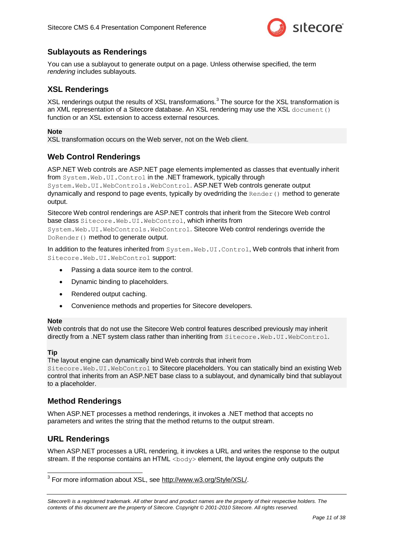

### <span id="page-10-0"></span>**Sublayouts as Renderings**

You can use a sublayout to generate output on a page. Unless otherwise specified, the term *rendering* includes sublayouts.

#### <span id="page-10-1"></span>**XSL Renderings**

XSL renderings output the results of XSL transformations.<sup>3</sup> The source for the XSL transformation is an XML representation of a Sitecore database. An XSL rendering may use the XSL document () function or an XSL extension to access external resources.

#### **Note**

XSL transformation occurs on the Web server, not on the Web client.

### <span id="page-10-2"></span>**Web Control Renderings**

ASP.NET Web controls are ASP.NET page elements implemented as classes that eventually inherit from System.Web.UI.Control in the .NET framework, typically through System.Web.UI.WebControls.WebControl. ASP.NET Web controls generate output dynamically and respond to page events, typically by ovedrriding the  $\text{Render}(i)$  method to generate output.

Sitecore Web control renderings are ASP.NET controls that inherit from the Sitecore Web control base class Sitecore.Web.UI.WebControl, which inherits from

System. Web. UI. WebControls. WebControl. Sitecore Web control renderings override the DoRender() method to generate output.

In addition to the features inherited from System.Web.UI.Control, Web controls that inherit from Sitecore.Web.UI.WebControl support:

- Passing a data source item to the control.
- Dynamic binding to placeholders.
- Rendered output caching.
- Convenience methods and properties for Sitecore developers.

#### **Note**

Web controls that do not use the Sitecore Web control features described previously may inherit directly from a .NET system class rather than inheriting from Sitecore. Web.UI. WebControl.

#### **Tip**

1

The layout engine can dynamically bind Web controls that inherit from Sitecore.Web.UI.WebControl to Sitecore placeholders. You can statically bind an existing Web control that inherits from an ASP.NET base class to a sublayout, and dynamically bind that sublayout to a placeholder.

#### <span id="page-10-3"></span>**Method Renderings**

When ASP.NET processes a method renderings, it invokes a .NET method that accepts no parameters and writes the string that the method returns to the output stream.

#### <span id="page-10-4"></span>**URL Renderings**

When ASP.NET processes a URL rendering, it invokes a URL and writes the response to the output stream. If the response contains an HTML  $\langle \text{body}\rangle$  element, the layout engine only outputs the

<sup>3</sup> For more information about XSL, see [http://www.w3.org/Style/XSL/.](http://www.w3.org/Style/XSL/)

*Sitecore® is a registered trademark. All other brand and product names are the property of their respective holders. The contents of this document are the property of Sitecore. Copyright © 2001-2010 Sitecore. All rights reserved.*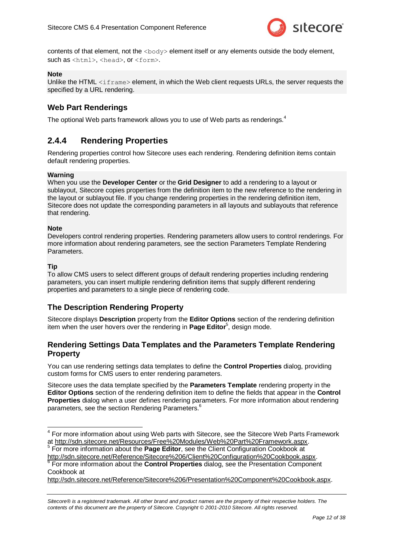

contents of that element, not the  $\langle \text{body}\rangle$  element itself or any elements outside the body element, such as <html>, <head>, or <form>.

#### **Note**

Unlike the HTML  $\langle$ iframe $\rangle$  element, in which the Web client requests URLs, the server requests the specified by a URL rendering.

### <span id="page-11-0"></span>**Web Part Renderings**

<span id="page-11-1"></span>The optional Web parts framework allows you to use of Web parts as renderings.<sup>4</sup>

### **2.4.4 Rendering Properties**

Rendering properties control how Sitecore uses each rendering. Rendering definition items contain default rendering properties.

#### **Warning**

When you use the **Developer Center** or the **Grid Designer** to add a rendering to a layout or sublayout, Sitecore copies properties from the definition item to the new reference to the rendering in the layout or sublayout file. If you change rendering properties in the rendering definition item, Sitecore does not update the corresponding parameters in all layouts and sublayouts that reference that rendering.

#### **Note**

Developers control rendering properties. Rendering parameters allow users to control renderings. For more information about rendering parameters, see the section Parameters [Template Rendering](#page-15-4)  **Parameters** 

#### **Tip**

To allow CMS users to select different groups of default rendering properties including rendering parameters, you can insert multiple rendering definition items that supply different rendering properties and parameters to a single piece of rendering code.

#### <span id="page-11-2"></span>**The Description Rendering Property**

Sitecore displays **Description** property from the **Editor Options** section of the rendering definition item when the user hovers over the rendering in **Page Editor**<sup>5</sup> , design mode.

#### <span id="page-11-3"></span>**Rendering Settings Data Templates and the Parameters Template Rendering Property**

You can use rendering settings data templates to define the **Control Properties** dialog, providing custom forms for CMS users to enter rendering parameters.

Sitecore uses the data template specified by the **Parameters Template** rendering property in the **Editor Options** section of the rendering definition item to define the fields that appear in the **Control Properties** dialog when a user defines rendering parameters. For more information about rendering parameters, see the section [Rendering Parameters.](#page-14-0)<sup>6</sup>

[http://sdn.sitecore.net/Reference/Sitecore%206/Client%20Configuration%20Cookbook.aspx.](http://sdn.sitecore.net/Reference/Sitecore%206/Client%20Configuration%20Cookbook.aspx) <sup>6</sup> For more information about the **Control Properties** dialog, see the Presentation Component Cookbook at

[http://sdn.sitecore.net/Reference/Sitecore%206/Presentation%20Component%20Cookbook.aspx.](http://sdn.sitecore.net/Reference/Sitecore%206/Presentation%20Component%20Cookbook.aspx)

<sup>————————————————————&</sup>lt;br><sup>4</sup> For more information about using Web parts with Sitecore, see the Sitecore Web Parts Framework at [http://sdn.sitecore.net/Resources/Free%20Modules/Web%20Part%20Framework.aspx.](http://sdn.sitecore.net/Resources/Free%20Modules/Web%20Part%20Framework.aspx)<br>5 Eer mere information about the **Bage Editer**, aso the Client Configuration Cookhook at

For more information about the **Page Editor**, see the Client Configuration Cookbook at

*Sitecore® is a registered trademark. All other brand and product names are the property of their respective holders. The contents of this document are the property of Sitecore. Copyright © 2001-2010 Sitecore. All rights reserved.*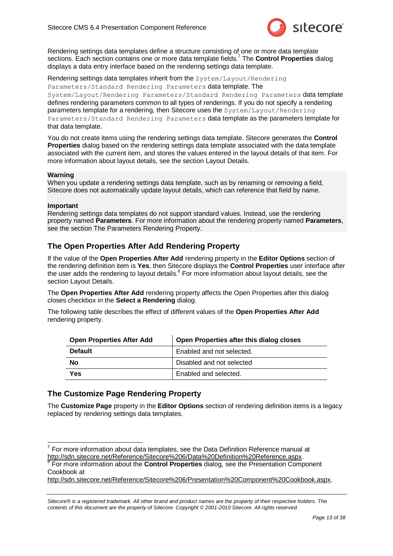

Rendering settings data templates define a structure consisting of one or more data template sections. Each section contains one or more data template fields.<sup>7</sup> The **Control Properties** dialog displays a data entry interface based on the rendering settings data template.

Rendering settings data templates inherit from the System/Layout/Rendering Parameters/Standard Rendering Parameters data template. The System/Layout/Rendering Parameters/Standard Rendering Parameters data template defines rendering parameters common to all types of renderings. If you do not specify a rendering parameters template for a rendering, then Sitecore uses the System/Layout/Rendering Parameters/Standard Rendering Parameters data template as the parameters template for that data template.

You do not create items using the rendering settings data template. Sitecore generates the **Control Properties** dialog based on the rendering settings data template associated with the data template associated with the current item, and stores the values entered in the layout details of that item. For more information about layout details, see the section [Layout Details.](#page-24-0)

#### **Warning**

When you update a rendering settings data template, such as by renaming or removing a field, Sitecore does not automatically update layout details, which can reference that field by name.

#### **Important**

Rendering settings data templates do not support standard values. Instead, use the rendering property named **Parameters**. For more information about the rendering property named **Parameters**, see the section The Parameters [Rendering Property.](#page-13-1)

### <span id="page-12-0"></span>**The Open Properties After Add Rendering Property**

If the value of the **Open Properties After Add** rendering property in the **Editor Options** section of the rendering definition item is **Yes**, then Sitecore displays the **Control Properties** user interface after the user adds the rendering to layout details.<sup>8</sup> For more information about layout details, see the section [Layout Details.](#page-24-0)

The **Open Properties After Add** rendering property affects the Open Properties after this dialog closes checkbox in the **Select a Rendering** dialog.

The following table describes the effect of different values of the **Open Properties After Add** rendering property.

| <b>Open Properties After Add</b> | Open Properties after this dialog closes |  |  |
|----------------------------------|------------------------------------------|--|--|
| <b>Default</b>                   | Enabled and not selected.                |  |  |
| <b>No</b>                        | Disabled and not selected                |  |  |
| Yes                              | Enabled and selected.                    |  |  |

#### <span id="page-12-1"></span>**The Customize Page Rendering Property**

The **Customize Page** property in the **Editor Options** section of rendering definition items is a legacy replaced by rendering settings data templates.

For more information about the **Control Properties** dialog, see the Presentation Component Cookbook at

[http://sdn.sitecore.net/Reference/Sitecore%206/Presentation%20Component%20Cookbook.aspx.](http://sdn.sitecore.net/Reference/Sitecore%206/Presentation%20Component%20Cookbook.aspx)

<sup>————————————————————&</sup>lt;br><sup>7</sup> For more information about data templates, see the Data Definition Reference manual at [http://sdn.sitecore.net/Reference/Sitecore%206/Data%20Definition%20Reference.aspx.](http://sdn.sitecore.net/Reference/Sitecore%206/Data%20Definition%20Reference.aspx) 8

*Sitecore® is a registered trademark. All other brand and product names are the property of their respective holders. The contents of this document are the property of Sitecore. Copyright © 2001-2010 Sitecore. All rights reserved.*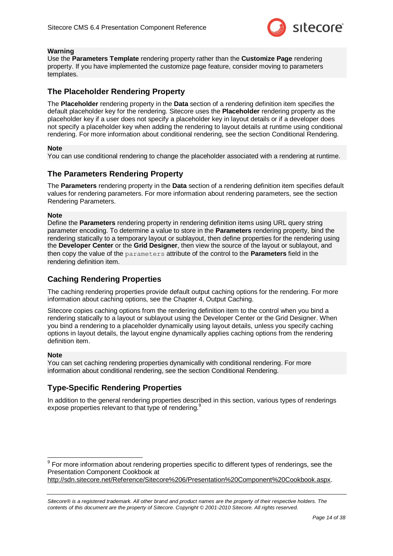

#### **Warning**

Use the **Parameters Template** rendering property rather than the **Customize Page** rendering property. If you have implemented the customize page feature, consider moving to parameters templates.

### <span id="page-13-0"></span>**The Placeholder Rendering Property**

The **Placeholder** rendering property in the **Data** section of a rendering definition item specifies the default placeholder key for the rendering. Sitecore uses the **Placeholder** rendering property as the placeholder key if a user does not specify a placeholder key in layout details or if a developer does not specify a placeholder key when adding the rendering to layout details at runtime using conditional rendering. For more information about conditional rendering, see the sectio[n Conditional Rendering.](#page-26-0)

#### **Note**

You can use conditional rendering to change the placeholder associated with a rendering at runtime.

#### <span id="page-13-1"></span>**The Parameters Rendering Property**

The **Parameters** rendering property in the **Data** section of a rendering definition item specifies default values for rendering parameters. For more information about rendering parameters, see the section [Rendering Parameters.](#page-14-0)

#### **Note**

Define the **Parameters** rendering property in rendering definition items using URL query string parameter encoding. To determine a value to store in the **Parameters** rendering property, bind the rendering statically to a temporary layout or sublayout, then define properties for the rendering using the **Developer Center** or the **Grid Designer**, then view the source of the layout or sublayout, and then copy the value of the parameters attribute of the control to the **Parameters** field in the rendering definition item.

#### <span id="page-13-2"></span>**Caching Rendering Properties**

The caching rendering properties provide default output caching options for the rendering. For more information about caching options, see the [Chapter 4, Output Caching.](#page-28-0)

Sitecore copies caching options from the rendering definition item to the control when you bind a rendering statically to a layout or sublayout using the Developer Center or the Grid Designer. When you bind a rendering to a placeholder dynamically using layout details, unless you specify caching options in layout details, the layout engine dynamically applies caching options from the rendering definition item.

#### **Note**

You can set caching rendering properties dynamically with conditional rendering. For more information about conditional rendering, see the section [Conditional Rendering.](#page-26-0)

#### <span id="page-13-3"></span>**Type-Specific Rendering Properties**

In addition to the general rendering properties described in this section, various types of renderings expose properties relevant to that type of rendering.<sup>9</sup>

 9 For more information about rendering properties specific to different types of renderings, see the Presentation Component Cookbook at [http://sdn.sitecore.net/Reference/Sitecore%206/Presentation%20Component%20Cookbook.aspx.](http://sdn.sitecore.net/Reference/Sitecore%206/Presentation%20Component%20Cookbook.aspx)

*Sitecore® is a registered trademark. All other brand and product names are the property of their respective holders. The contents of this document are the property of Sitecore. Copyright © 2001-2010 Sitecore. All rights reserved.*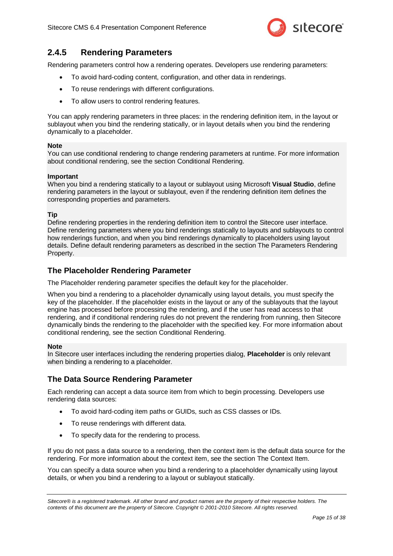

### <span id="page-14-0"></span>**2.4.5 Rendering Parameters**

Rendering parameters control how a rendering operates. Developers use rendering parameters:

- To avoid hard-coding content, configuration, and other data in renderings.
- To reuse renderings with different configurations.
- To allow users to control rendering features.

You can apply rendering parameters in three places: in the rendering definition item, in the layout or sublayout when you bind the rendering statically, or in layout details when you bind the rendering dynamically to a placeholder.

#### **Note**

You can use conditional rendering to change rendering parameters at runtime. For more information about conditional rendering, see the section [Conditional Rendering.](#page-26-0)

#### **Important**

When you bind a rendering statically to a layout or sublayout using Microsoft **Visual Studio**, define rendering parameters in the layout or sublayout, even if the rendering definition item defines the corresponding properties and parameters.

#### **Tip**

Define rendering properties in the rendering definition item to control the Sitecore user interface. Define rendering parameters where you bind renderings statically to layouts and sublayouts to control how renderings function, and when you bind renderings dynamically to placeholders using layout details. Define default rendering parameters as described in the sectio[n The Parameters](#page-13-1) Rendering [Property.](#page-13-1)

#### <span id="page-14-1"></span>**The Placeholder Rendering Parameter**

The Placeholder rendering parameter specifies the default key for the placeholder.

When you bind a rendering to a placeholder dynamically using layout details, you must specify the key of the placeholder. If the placeholder exists in the layout or any of the sublayouts that the layout engine has processed before processing the rendering, and if the user has read access to that rendering, and if conditional rendering rules do not prevent the rendering from running, then Sitecore dynamically binds the rendering to the placeholder with the specified key. For more information about conditional rendering, see the section [Conditional Rendering.](#page-26-0)

#### **Note**

In Sitecore user interfaces including the rendering properties dialog, **Placeholder** is only relevant when binding a rendering to a placeholder.

#### <span id="page-14-2"></span>**The Data Source Rendering Parameter**

Each rendering can accept a data source item from which to begin processing. Developers use rendering data sources:

- To avoid hard-coding item paths or GUIDs, such as CSS classes or IDs.
- To reuse renderings with different data.
- To specify data for the rendering to process.

If you do not pass a data source to a rendering, then the context item is the default data source for the rendering. For more information about the context item, see the section [The Context Item.](#page-21-1)

You can specify a data source when you bind a rendering to a placeholder dynamically using layout details, or when you bind a rendering to a layout or sublayout statically.

*Sitecore® is a registered trademark. All other brand and product names are the property of their respective holders. The contents of this document are the property of Sitecore. Copyright © 2001-2010 Sitecore. All rights reserved.*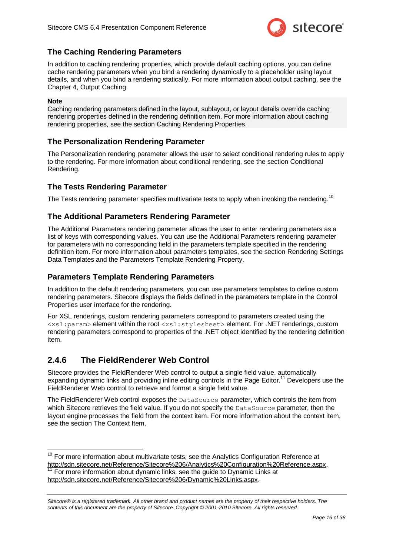

### <span id="page-15-0"></span>**The Caching Rendering Parameters**

In addition to caching rendering properties, which provide default caching options, you can define cache rendering parameters when you bind a rendering dynamically to a placeholder using layout details, and when you bind a rendering statically. For more information about output caching, see the [Chapter 4, Output Caching.](#page-28-0)

#### **Note**

 $\overline{\phantom{a}}$ 

Caching rendering parameters defined in the layout, sublayout, or layout details override caching rendering properties defined in the rendering definition item. For more information about caching rendering properties, see the section [Caching Rendering Properties.](#page-13-2)

### <span id="page-15-1"></span>**The Personalization Rendering Parameter**

The Personalization rendering parameter allows the user to select conditional rendering rules to apply to the rendering. For more information about conditional rendering, see the section [Conditional](#page-26-0)  [Rendering.](#page-26-0)

### <span id="page-15-2"></span>**The Tests Rendering Parameter**

<span id="page-15-3"></span>The Tests rendering parameter specifies multivariate tests to apply when invoking the rendering.<sup>10</sup>

### **The Additional Parameters Rendering Parameter**

The Additional Parameters rendering parameter allows the user to enter rendering parameters as a list of keys with corresponding values. You can use the Additional Parameters rendering parameter for parameters with no corresponding field in the parameters template specified in the rendering definition item. For more information about parameters templates, see the section [Rendering Settings](#page-11-3)  [Data Templates and the Parameters Template](#page-11-3) Rendering Property.

#### <span id="page-15-4"></span>**Parameters Template Rendering Parameters**

In addition to the default rendering parameters, you can use parameters templates to define custom rendering parameters. Sitecore displays the fields defined in the parameters template in the Control Properties user interface for the rendering.

For XSL renderings, custom rendering parameters correspond to parameters created using the <xsl:param> element within the root <xsl:stylesheet> element. For .NET renderings, custom rendering parameters correspond to properties of the .NET object identified by the rendering definition item.

### <span id="page-15-5"></span>**2.4.6 The FieldRenderer Web Control**

Sitecore provides the FieldRenderer Web control to output a single field value, automatically expanding dynamic links and providing inline editing controls in the Page Editor.<sup>11</sup> Developers use the FieldRenderer Web control to retrieve and format a single field value.

The FieldRenderer Web control exposes the DataSource parameter, which controls the item from which Sitecore retrieves the field value. If you do not specify the DataSource parameter, then the layout engine processes the field from the context item. For more information about the context item, see the section [The Context Item.](#page-21-1)

 $10$  For more information about multivariate tests, see the Analytics Configuration Reference at [http://sdn.sitecore.net/Reference/Sitecore%206/Analytics%20Configuration%20Reference.aspx.](http://sdn.sitecore.net/Reference/Sitecore%206/Analytics%20Configuration%20Reference.aspx) For more information about dynamic links, see the guide to Dynamic Links at [http://sdn.sitecore.net/Reference/Sitecore%206/Dynamic%20Links.aspx.](http://sdn.sitecore.net/Reference/Sitecore%206/Dynamic%20Links.aspx)

*Sitecore® is a registered trademark. All other brand and product names are the property of their respective holders. The contents of this document are the property of Sitecore. Copyright © 2001-2010 Sitecore. All rights reserved.*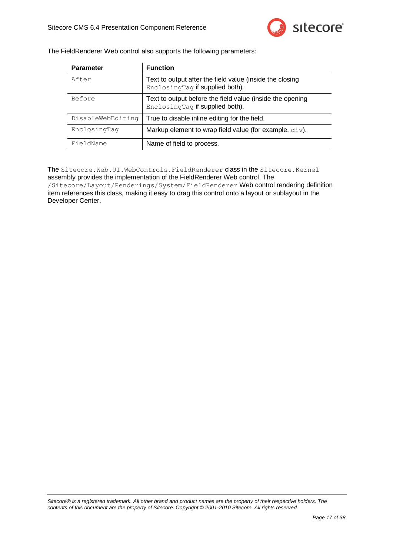

| The FieldRenderer Web control also supports the following parameters: |  |  |
|-----------------------------------------------------------------------|--|--|
|                                                                       |  |  |

| <b>Parameter</b>  | <b>Function</b>                                                                              |  |  |
|-------------------|----------------------------------------------------------------------------------------------|--|--|
| After             | Text to output after the field value (inside the closing<br>EnclosingTag if supplied both).  |  |  |
| Before            | Text to output before the field value (inside the opening<br>EnclosingTag if supplied both). |  |  |
| DisableWebEditing | True to disable inline editing for the field.                                                |  |  |
| EnclosingTag      | Markup element to wrap field value (for example, $div$ ).                                    |  |  |
| FieldName         | Name of field to process.                                                                    |  |  |

The Sitecore.Web.UI.WebControls.FieldRenderer class in the Sitecore.Kernel assembly provides the implementation of the FieldRenderer Web control. The /Sitecore/Layout/Renderings/System/FieldRenderer Web control rendering definition item references this class, making it easy to drag this control onto a layout or sublayout in the Developer Center.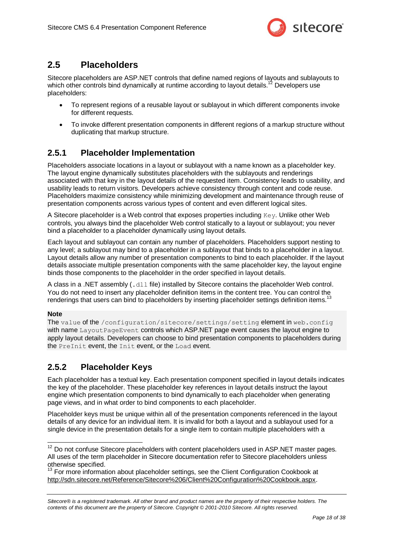

### <span id="page-17-0"></span>**2.5 Placeholders**

Sitecore placeholders are ASP.NET controls that define named regions of layouts and sublayouts to which other controls bind dynamically at runtime according to layout details.<sup>12</sup> Developers use placeholders:

- To represent regions of a reusable layout or sublayout in which different components invoke for different requests.
- To invoke different presentation components in different regions of a markup structure without duplicating that markup structure.

### <span id="page-17-1"></span>**2.5.1 Placeholder Implementation**

Placeholders associate locations in a layout or sublayout with a name known as a placeholder key. The layout engine dynamically substitutes placeholders with the sublayouts and renderings associated with that key in the layout details of the requested item. Consistency leads to usability, and usability leads to return visitors. Developers achieve consistency through content and code reuse. Placeholders maximize consistency while minimizing development and maintenance through reuse of presentation components across various types of content and even different logical sites.

A Sitecore placeholder is a Web control that exposes properties including Key. Unlike other Web controls, you always bind the placeholder Web control statically to a layout or sublayout; you never bind a placeholder to a placeholder dynamically using layout details.

Each layout and sublayout can contain any number of placeholders. Placeholders support nesting to any level; a sublayout may bind to a placeholder in a sublayout that binds to a placeholder in a layout. Layout details allow any number of presentation components to bind to each placeholder. If the layout details associate multiple presentation components with the same placeholder key, the layout engine binds those components to the placeholder in the order specified in layout details.

A class in a .NET assembly (.dll file) installed by Sitecore contains the placeholder Web control. You do not need to insert any placeholder definition items in the content tree. You can control the renderings that users can bind to placeholders by inserting placeholder settings definition items.<sup>13</sup>

#### **Note**

 $\overline{\phantom{a}}$ 

The value of the /configuration/sitecore/settings/setting element in web.config with name Layout PageEvent controls which ASP.NET page event causes the layout engine to apply layout details. Developers can choose to bind presentation components to placeholders during the PreInit event, the Init event, or the Load event.

### <span id="page-17-2"></span>**2.5.2 Placeholder Keys**

Each placeholder has a textual key. Each presentation component specified in layout details indicates the key of the placeholder. These placeholder key references in layout details instruct the layout engine which presentation components to bind dynamically to each placeholder when generating page views, and in what order to bind components to each placeholder.

Placeholder keys must be unique within all of the presentation components referenced in the layout details of any device for an individual item. It is invalid for both a layout and a sublayout used for a single device in the presentation details for a single item to contain multiple placeholders with a

<sup>13</sup> For more information about placeholder settings, see the Client Configuration Cookbook at [http://sdn.sitecore.net/Reference/Sitecore%206/Client%20Configuration%20Cookbook.aspx.](http://sdn.sitecore.net/Reference/Sitecore%206/Client%20Configuration%20Cookbook.aspx)

 $12$  Do not confuse Sitecore placeholders with content placeholders used in ASP.NET master pages. All uses of the term placeholder in Sitecore documentation refer to Sitecore placeholders unless otherwise specified.

*Sitecore® is a registered trademark. All other brand and product names are the property of their respective holders. The contents of this document are the property of Sitecore. Copyright © 2001-2010 Sitecore. All rights reserved.*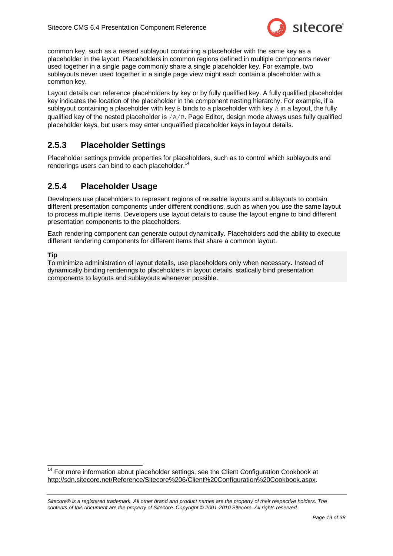

common key, such as a nested sublayout containing a placeholder with the same key as a placeholder in the layout. Placeholders in common regions defined in multiple components never used together in a single page commonly share a single placeholder key. For example, two sublayouts never used together in a single page view might each contain a placeholder with a common key.

Layout details can reference placeholders by key or by fully qualified key. A fully qualified placeholder key indicates the location of the placeholder in the component nesting hierarchy. For example, if a sublayout containing a placeholder with key  $B$  binds to a placeholder with key  $A$  in a layout, the fully qualified key of the nested placeholder is  $/A/B$ . Page Editor, design mode always uses fully qualified placeholder keys, but users may enter unqualified placeholder keys in layout details.

### <span id="page-18-0"></span>**2.5.3 Placeholder Settings**

Placeholder settings provide properties for placeholders, such as to control which sublayouts and renderings users can bind to each placeholder.<sup>14</sup>

### <span id="page-18-1"></span>**2.5.4 Placeholder Usage**

Developers use placeholders to represent regions of reusable layouts and sublayouts to contain different presentation components under different conditions, such as when you use the same layout to process multiple items. Developers use layout details to cause the layout engine to bind different presentation components to the placeholders.

Each rendering component can generate output dynamically. Placeholders add the ability to execute different rendering components for different items that share a common layout.

#### **Tip**

1

To minimize administration of layout details, use placeholders only when necessary. Instead of dynamically binding renderings to placeholders in layout details, statically bind presentation components to layouts and sublayouts whenever possible.

 $14$  For more information about placeholder settings, see the Client Configuration Cookbook at [http://sdn.sitecore.net/Reference/Sitecore%206/Client%20Configuration%20Cookbook.aspx.](http://sdn.sitecore.net/Reference/Sitecore%206/Client%20Configuration%20Cookbook.aspx)

*Sitecore® is a registered trademark. All other brand and product names are the property of their respective holders. The contents of this document are the property of Sitecore. Copyright © 2001-2010 Sitecore. All rights reserved.*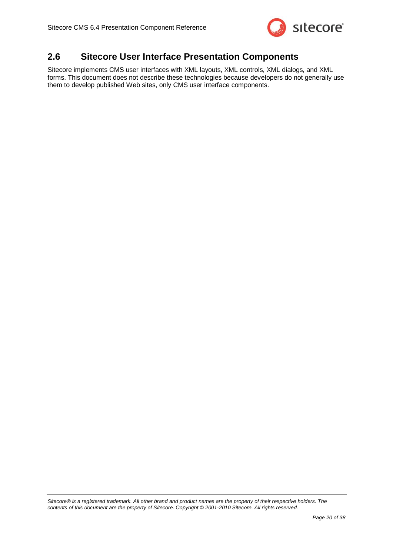

### <span id="page-19-0"></span>**2.6 Sitecore User Interface Presentation Components**

Sitecore implements CMS user interfaces with XML layouts, XML controls, XML dialogs, and XML forms. This document does not describe these technologies because developers do not generally use them to develop published Web sites, only CMS user interface components.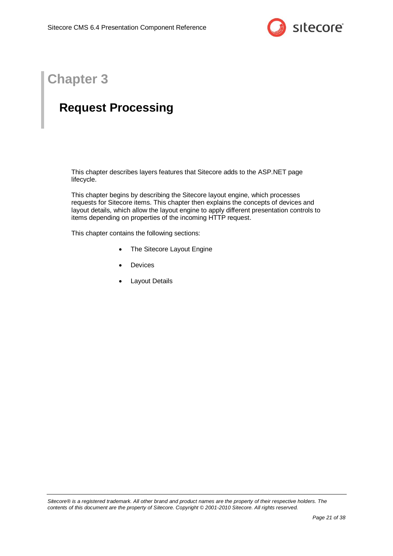

# **Chapter 3**

# <span id="page-20-0"></span>**Request Processing**

This chapter describes layers features that Sitecore adds to the ASP.NET page lifecycle.

This chapter begins by describing the Sitecore layout engine, which processes requests for Sitecore items. This chapter then explains the concepts of devices and layout details, which allow the layout engine to apply different presentation controls to items depending on properties of the incoming HTTP request.

This chapter contains the following sections:

- [The Sitecore Layout Engine](#page-21-0)
- [Devices](#page-22-0)
- [Layout Details](#page-24-0)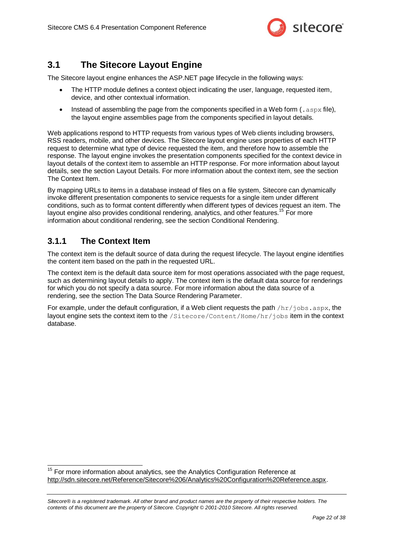

### <span id="page-21-0"></span>**3.1 The Sitecore Layout Engine**

The Sitecore layout engine enhances the ASP.NET page lifecycle in the following ways:

- The HTTP module defines a context object indicating the user, language, requested item, device, and other contextual information.
- **Instead of assembling the page from the components specified in a Web form (.aspx file),** the layout engine assemblies page from the components specified in layout details.

Web applications respond to HTTP requests from various types of Web clients including browsers, RSS readers, mobile, and other devices. The Sitecore layout engine uses properties of each HTTP request to determine what type of device requested the item, and therefore how to assemble the response. The layout engine invokes the presentation components specified for the context device in layout details of the context item to assemble an HTTP response. For more information about layout details, see the section [Layout Details.](#page-24-0) For more information about the context item, see the section [The Context Item.](#page-21-1)

By mapping URLs to items in a database instead of files on a file system, Sitecore can dynamically invoke different presentation components to service requests for a single item under different conditions, such as to format content differently when different types of devices request an item. The layout engine also provides conditional rendering, analytics, and other features.<sup>15</sup> For more information about conditional rendering, see the section [Conditional Rendering.](#page-26-0)

### <span id="page-21-1"></span>**3.1.1 The Context Item**

1

The context item is the default source of data during the request lifecycle. The layout engine identifies the content item based on the path in the requested URL.

The context item is the default data source item for most operations associated with the page request, such as determining layout details to apply. The context item is the default data source for renderings for which you do not specify a data source. For more information about the data source of a rendering, see the section The Data Source [Rendering Parameter.](#page-14-2)

For example, under the default configuration, if a Web client requests the path  $/hr/jobs.aspx$ , the layout engine sets the context item to the /Sitecore/Content/Home/hr/jobs item in the context database.

 $15$  For more information about analytics, see the Analytics Configuration Reference at [http://sdn.sitecore.net/Reference/Sitecore%206/Analytics%20Configuration%20Reference.aspx.](http://sdn.sitecore.net/Reference/Sitecore%206/Analytics%20Configuration%20Reference.aspx)

*Sitecore® is a registered trademark. All other brand and product names are the property of their respective holders. The contents of this document are the property of Sitecore. Copyright © 2001-2010 Sitecore. All rights reserved.*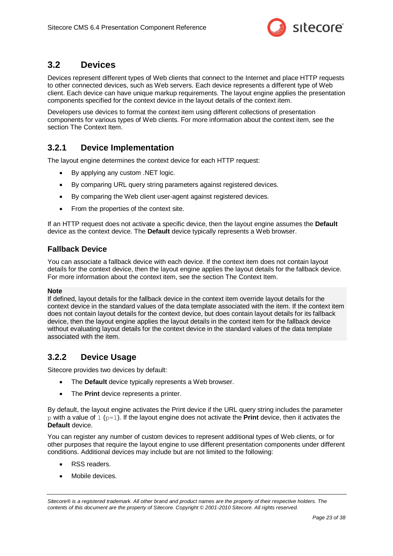

### <span id="page-22-0"></span>**3.2 Devices**

Devices represent different types of Web clients that connect to the Internet and place HTTP requests to other connected devices, such as Web servers. Each device represents a different type of Web client. Each device can have unique markup requirements. The layout engine applies the presentation components specified for the context device in the layout details of the context item.

Developers use devices to format the context item using different collections of presentation components for various types of Web clients. For more information about the context item, see the section [The Context Item.](#page-21-1)

### <span id="page-22-1"></span>**3.2.1 Device Implementation**

The layout engine determines the context device for each HTTP request:

- By applying any custom .NET logic.
- By comparing URL query string parameters against registered devices.
- By comparing the Web client user-agent against registered devices.
- From the properties of the context site.

If an HTTP request does not activate a specific device, then the layout engine assumes the **Default** device as the context device. The **Default** device typically represents a Web browser.

### <span id="page-22-2"></span>**Fallback Device**

You can associate a fallback device with each device. If the context item does not contain layout details for the context device, then the layout engine applies the layout details for the fallback device. For more information about the context item, see the section [The Context Item.](#page-21-1)

#### **Note**

If defined, layout details for the fallback device in the context item override layout details for the context device in the standard values of the data template associated with the item. If the context item does not contain layout details for the context device, but does contain layout details for its fallback device, then the layout engine applies the layout details in the context item for the fallback device without evaluating layout details for the context device in the standard values of the data template associated with the item.

### <span id="page-22-3"></span>**3.2.2 Device Usage**

Sitecore provides two devices by default:

- The **Default** device typically represents a Web browser.
- The **Print** device represents a printer.

By default, the layout engine activates the Print device if the URL query string includes the parameter p with a value of  $1 (p=1)$ . If the layout engine does not activate the **Print** device, then it activates the **Default** device.

You can register any number of custom devices to represent additional types of Web clients, or for other purposes that require the layout engine to use different presentation components under different conditions. Additional devices may include but are not limited to the following:

- RSS readers.
- Mobile devices.

*Sitecore® is a registered trademark. All other brand and product names are the property of their respective holders. The contents of this document are the property of Sitecore. Copyright © 2001-2010 Sitecore. All rights reserved.*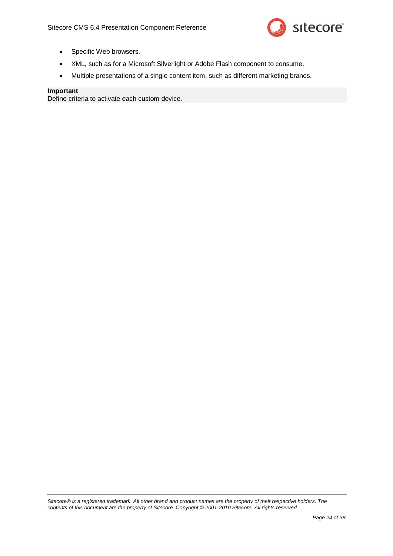

- Specific Web browsers.
- XML, such as for a Microsoft Silverlight or Adobe Flash component to consume.
- Multiple presentations of a single content item, such as different marketing brands.

#### **Important**

Define criteria to activate each custom device.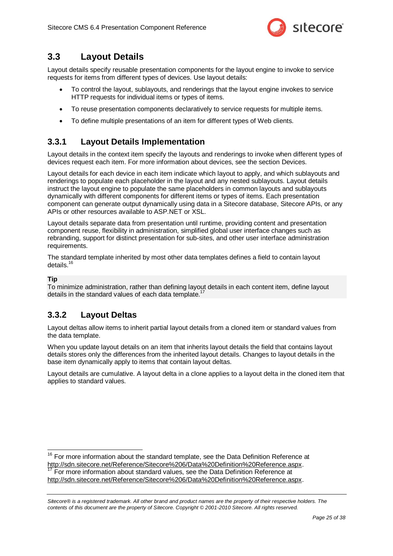

### <span id="page-24-0"></span>**3.3 Layout Details**

Layout details specify reusable presentation components for the layout engine to invoke to service requests for items from different types of devices. Use layout details:

- To control the layout, sublayouts, and renderings that the layout engine invokes to service HTTP requests for individual items or types of items.
- To reuse presentation components declaratively to service requests for multiple items.
- To define multiple presentations of an item for different types of Web clients.

### <span id="page-24-1"></span>**3.3.1 Layout Details Implementation**

Layout details in the context item specify the layouts and renderings to invoke when different types of devices request each item. For more information about devices, see the section [Devices.](#page-22-0)

Layout details for each device in each item indicate which layout to apply, and which sublayouts and renderings to populate each placeholder in the layout and any nested sublayouts. Layout details instruct the layout engine to populate the same placeholders in common layouts and sublayouts dynamically with different components for different items or types of items. Each presentation component can generate output dynamically using data in a Sitecore database, Sitecore APIs, or any APIs or other resources available to ASP.NET or XSL.

Layout details separate data from presentation until runtime, providing content and presentation component reuse, flexibility in administration, simplified global user interface changes such as rebranding, support for distinct presentation for sub-sites, and other user interface administration requirements.

The standard template inherited by most other data templates defines a field to contain layout details. $16$ 

**Tip**

 $\overline{\phantom{a}}$ 

To minimize administration, rather than defining layout details in each content item, define layout details in the standard values of each data template.<sup>17</sup>

### <span id="page-24-2"></span>**3.3.2 Layout Deltas**

Layout deltas allow items to inherit partial layout details from a cloned item or standard values from the data template.

When you update layout details on an item that inherits layout details the field that contains layout details stores only the differences from the inherited layout details. Changes to layout details in the base item dynamically apply to items that contain layout deltas.

Layout details are cumulative. A layout delta in a clone applies to a layout delta in the cloned item that applies to standard values.

 $16$  For more information about the standard template, see the Data Definition Reference at [http://sdn.sitecore.net/Reference/Sitecore%206/Data%20Definition%20Reference.aspx.](http://sdn.sitecore.net/Reference/Sitecore%206/Data%20Definition%20Reference.aspx) For more information about standard values, see the Data Definition Reference at [http://sdn.sitecore.net/Reference/Sitecore%206/Data%20Definition%20Reference.aspx.](http://sdn.sitecore.net/Reference/Sitecore%206/Data%20Definition%20Reference.aspx)

*Sitecore® is a registered trademark. All other brand and product names are the property of their respective holders. The contents of this document are the property of Sitecore. Copyright © 2001-2010 Sitecore. All rights reserved.*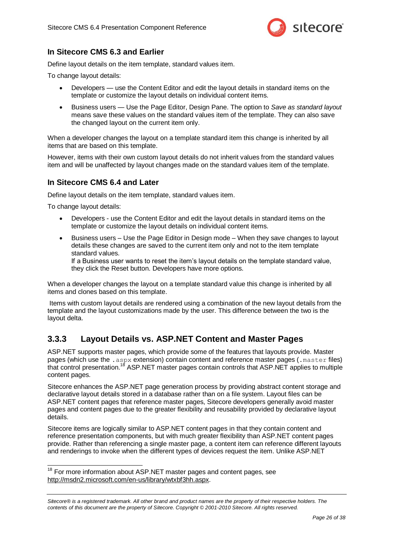

### <span id="page-25-0"></span>**In Sitecore CMS 6.3 and Earlier**

Define layout details on the item template, standard values item.

To change layout details:

- Developers use the Content Editor and edit the layout details in standard items on the template or customize the layout details on individual content items.
- Business users Use the Page Editor, Design Pane. The option to *Save as standard layout* means save these values on the standard values item of the template. They can also save the changed layout on the current item only.

When a developer changes the layout on a template standard item this change is inherited by all items that are based on this template.

However, items with their own custom layout details do not inherit values from the standard values item and will be unaffected by layout changes made on the standard values item of the template.

### <span id="page-25-1"></span>**In Sitecore CMS 6.4 and Later**

Define layout details on the item template, standard values item.

To change layout details:

1

- Developers use the Content Editor and edit the layout details in standard items on the template or customize the layout details on individual content items.
- Business users Use the Page Editor in Design mode When they save changes to layout details these changes are saved to the current item only and not to the item template standard values.

If a Business user wants to reset the item's layout details on the template standard value, they click the Reset button. Developers have more options.

When a developer changes the layout on a template standard value this change is inherited by all items and clones based on this template.

Items with custom layout details are rendered using a combination of the new layout details from the template and the layout customizations made by the user. This difference between the two is the layout delta.

### <span id="page-25-2"></span>**3.3.3 Layout Details vs. ASP.NET Content and Master Pages**

ASP.NET supports master pages, which provide some of the features that layouts provide. Master pages (which use the . aspx extension) contain content and reference master pages (. master files) that control presentation.<sup>18</sup> ASP.NET master pages contain controls that ASP.NET applies to multiple content pages.

Sitecore enhances the ASP.NET page generation process by providing abstract content storage and declarative layout details stored in a database rather than on a file system. Layout files can be ASP.NET content pages that reference master pages, Sitecore developers generally avoid master pages and content pages due to the greater flexibility and reusability provided by declarative layout details.

Sitecore items are logically similar to ASP.NET content pages in that they contain content and reference presentation components, but with much greater flexibility than ASP.NET content pages provide. Rather than referencing a single master page, a content item can reference different layouts and renderings to invoke when the different types of devices request the item. Unlike ASP.NET

 $18$  For more information about ASP.NET master pages and content pages, see [http://msdn2.microsoft.com/en-us/library/wtxbf3hh.aspx.](http://msdn2.microsoft.com/en-us/library/wtxbf3hh.aspx)

*Sitecore® is a registered trademark. All other brand and product names are the property of their respective holders. The contents of this document are the property of Sitecore. Copyright © 2001-2010 Sitecore. All rights reserved.*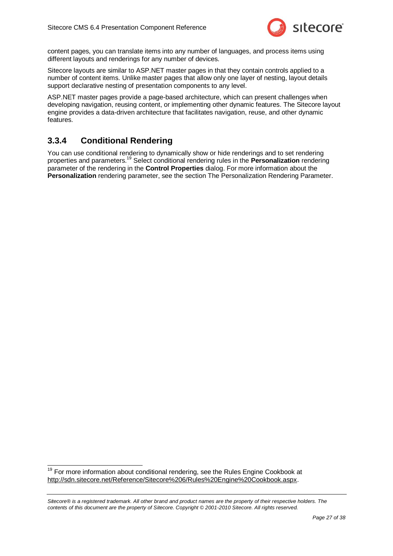

content pages, you can translate items into any number of languages, and process items using different layouts and renderings for any number of devices.

Sitecore layouts are similar to ASP.NET master pages in that they contain controls applied to a number of content items. Unlike master pages that allow only one layer of nesting, layout details support declarative nesting of presentation components to any level.

ASP.NET master pages provide a page-based architecture, which can present challenges when developing navigation, reusing content, or implementing other dynamic features. The Sitecore layout engine provides a data-driven architecture that facilitates navigation, reuse, and other dynamic features.

### <span id="page-26-0"></span>**3.3.4 Conditional Rendering**

1

You can use conditional rendering to dynamically show or hide renderings and to set rendering properties and parameters.<sup>19</sup> Select conditional rendering rules in the **Personalization** rendering parameter of the rendering in the **Control Properties** dialog. For more information about the **Personalization** rendering parameter, see the section [The Personalization Rendering Parameter.](#page-15-1)

 $19$  For more information about conditional rendering, see the Rules Engine Cookbook at [http://sdn.sitecore.net/Reference/Sitecore%206/Rules%20Engine%20Cookbook.aspx.](http://sdn.sitecore.net/Reference/Sitecore%206/Rules%20Engine%20Cookbook.aspx)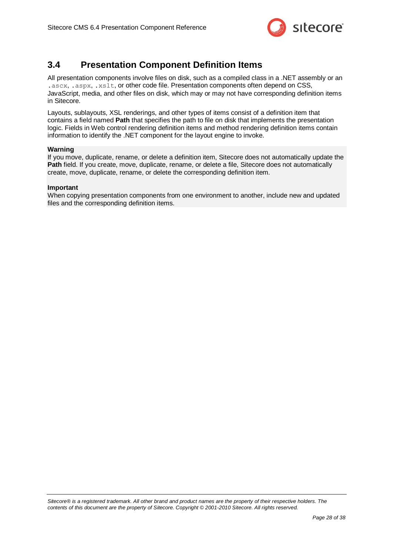

### <span id="page-27-0"></span>**3.4 Presentation Component Definition Items**

All presentation components involve files on disk, such as a compiled class in a .NET assembly or an .ascx, .aspx, .xslt, or other code file. Presentation components often depend on CSS, JavaScript, media, and other files on disk, which may or may not have corresponding definition items in Sitecore.

Layouts, sublayouts, XSL renderings, and other types of items consist of a definition item that contains a field named **Path** that specifies the path to file on disk that implements the presentation logic. Fields in Web control rendering definition items and method rendering definition items contain information to identify the .NET component for the layout engine to invoke.

#### **Warning**

If you move, duplicate, rename, or delete a definition item, Sitecore does not automatically update the **Path** field. If you create, move, duplicate, rename, or delete a file, Sitecore does not automatically create, move, duplicate, rename, or delete the corresponding definition item.

#### **Important**

When copying presentation components from one environment to another, include new and updated files and the corresponding definition items.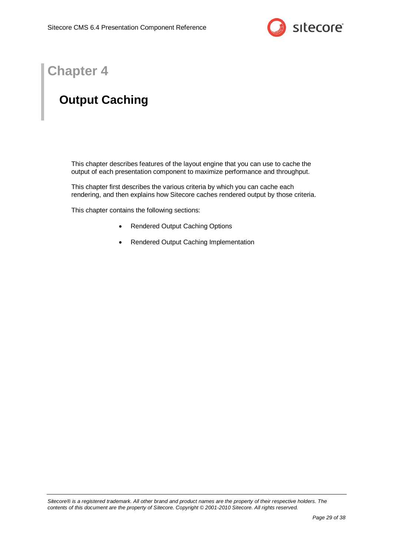

# **Chapter 4**

# <span id="page-28-0"></span>**Output Caching**

This chapter describes features of the layout engine that you can use to cache the output of each presentation component to maximize performance and throughput.

This chapter first describes the various criteria by which you can cache each rendering, and then explains how Sitecore caches rendered output by those criteria.

This chapter contains the following sections:

- [Rendered Output](#page-29-0) Caching Options
- [Rendered Output Caching Implementation](#page-30-0)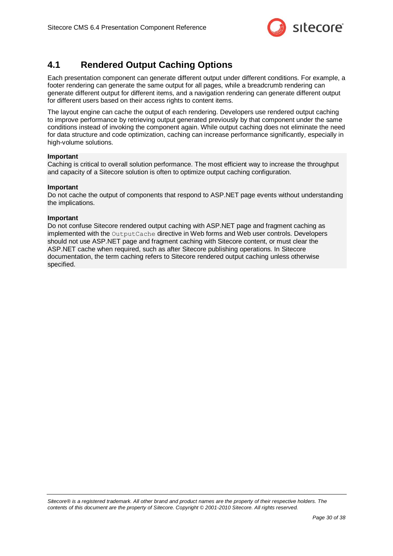

### <span id="page-29-0"></span>**4.1 Rendered Output Caching Options**

Each presentation component can generate different output under different conditions. For example, a footer rendering can generate the same output for all pages, while a breadcrumb rendering can generate different output for different items, and a navigation rendering can generate different output for different users based on their access rights to content items.

The layout engine can cache the output of each rendering. Developers use rendered output caching to improve performance by retrieving output generated previously by that component under the same conditions instead of invoking the component again. While output caching does not eliminate the need for data structure and code optimization, caching can increase performance significantly, especially in high-volume solutions.

#### **Important**

Caching is critical to overall solution performance. The most efficient way to increase the throughput and capacity of a Sitecore solution is often to optimize output caching configuration.

#### **Important**

Do not cache the output of components that respond to ASP.NET page events without understanding the implications.

#### **Important**

Do not confuse Sitecore rendered output caching with ASP.NET page and fragment caching as implemented with the OutputCache directive in Web forms and Web user controls. Developers should not use ASP.NET page and fragment caching with Sitecore content, or must clear the ASP.NET cache when required, such as after Sitecore publishing operations. In Sitecore documentation, the term caching refers to Sitecore rendered output caching unless otherwise specified.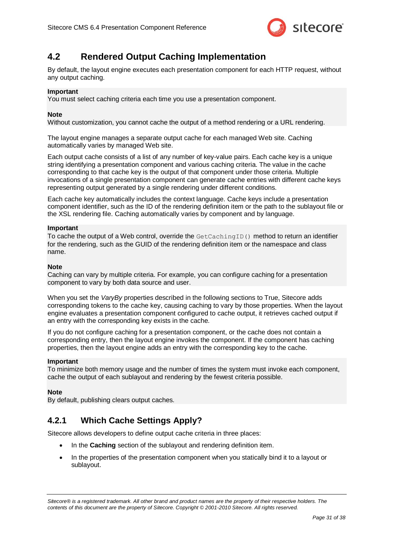

### <span id="page-30-0"></span>**4.2 Rendered Output Caching Implementation**

By default, the layout engine executes each presentation component for each HTTP request, without any output caching.

#### **Important**

You must select caching criteria each time you use a presentation component.

#### **Note**

Without customization, you cannot cache the output of a method rendering or a URL rendering.

The layout engine manages a separate output cache for each managed Web site. Caching automatically varies by managed Web site.

Each output cache consists of a list of any number of key-value pairs. Each cache key is a unique string identifying a presentation component and various caching criteria. The value in the cache corresponding to that cache key is the output of that component under those criteria. Multiple invocations of a single presentation component can generate cache entries with different cache keys representing output generated by a single rendering under different conditions.

Each cache key automatically includes the context language. Cache keys include a presentation component identifier, such as the ID of the rendering definition item or the path to the sublayout file or the XSL rendering file. Caching automatically varies by component and by language.

#### **Important**

To cache the output of a Web control, override the GetCachingID() method to return an identifier for the rendering, such as the GUID of the rendering definition item or the namespace and class name.

#### **Note**

Caching can vary by multiple criteria. For example, you can configure caching for a presentation component to vary by both data source and user.

When you set the *VaryBy* properties described in the following sections to True, Sitecore adds corresponding tokens to the cache key, causing caching to vary by those properties. When the layout engine evaluates a presentation component configured to cache output, it retrieves cached output if an entry with the corresponding key exists in the cache.

If you do not configure caching for a presentation component, or the cache does not contain a corresponding entry, then the layout engine invokes the component. If the component has caching properties, then the layout engine adds an entry with the corresponding key to the cache.

#### **Important**

To minimize both memory usage and the number of times the system must invoke each component, cache the output of each sublayout and rendering by the fewest criteria possible.

#### **Note**

By default, publishing clears output caches.

### <span id="page-30-1"></span>**4.2.1 Which Cache Settings Apply?**

Sitecore allows developers to define output cache criteria in three places:

- In the **Caching** section of the sublayout and rendering definition item.
- In the properties of the presentation component when you statically bind it to a layout or sublayout.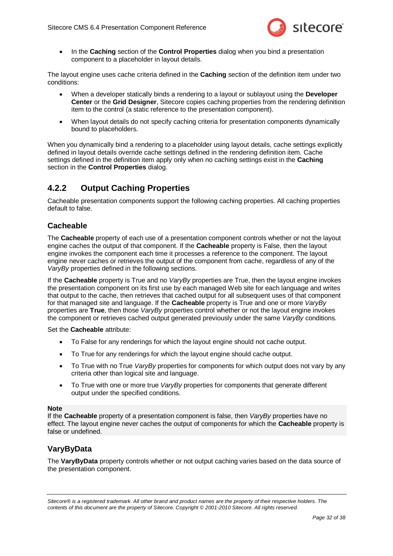

 In the **Caching** section of the **Control Properties** dialog when you bind a presentation component to a placeholder in layout details.

The layout engine uses cache criteria defined in the **Caching** section of the definition item under two conditions:

- When a developer statically binds a rendering to a layout or sublayout using the **Developer Center** or the **Grid Designer**, Sitecore copies caching properties from the rendering definition item to the control (a static reference to the presentation component).
- When layout details do not specify caching criteria for presentation components dynamically bound to placeholders.

When you dynamically bind a rendering to a placeholder using layout details, cache settings explicitly defined in layout details override cache settings defined in the rendering definition item. Cache settings defined in the definition item apply only when no caching settings exist in the **Caching** section in the **Control Properties** dialog.

### <span id="page-31-0"></span>**4.2.2 Output Caching Properties**

Cacheable presentation components support the following caching properties. All caching properties default to false.

### <span id="page-31-1"></span>**Cacheable**

The **Cacheable** property of each use of a presentation component controls whether or not the layout engine caches the output of that component. If the **Cacheable** property is False, then the layout engine invokes the component each time it processes a reference to the component. The layout engine never caches or retrieves the output of the component from cache, regardless of any of the *VaryBy* properties defined in the following sections.

If the **Cacheable** property is True and no *VaryBy* properties are True, then the layout engine invokes the presentation component on its first use by each managed Web site for each language and writes that output to the cache, then retrieves that cached output for all subsequent uses of that component for that managed site and language. If the **Cacheable** property is True and one or more *VaryBy* properties are **True**, then those *VaryBy* properties control whether or not the layout engine invokes the component or retrieves cached output generated previously under the same *VaryBy* conditions.

#### Set the **Cacheable** attribute:

- To False for any renderings for which the layout engine should not cache output.
- To True for any renderings for which the layout engine should cache output.
- To True with no True *VaryBy* properties for components for which output does not vary by any criteria other than logical site and language.
- To True with one or more true *VaryBy* properties for components that generate different output under the specified conditions.

#### **Note**

If the **Cacheable** property of a presentation component is false, then *VaryBy* properties have no effect. The layout engine never caches the output of components for which the **Cacheable** property is false or undefined.

#### <span id="page-31-2"></span>**VaryByData**

The **VaryByData** property controls whether or not output caching varies based on the data source of the presentation component.

*Sitecore® is a registered trademark. All other brand and product names are the property of their respective holders. The contents of this document are the property of Sitecore. Copyright © 2001-2010 Sitecore. All rights reserved.*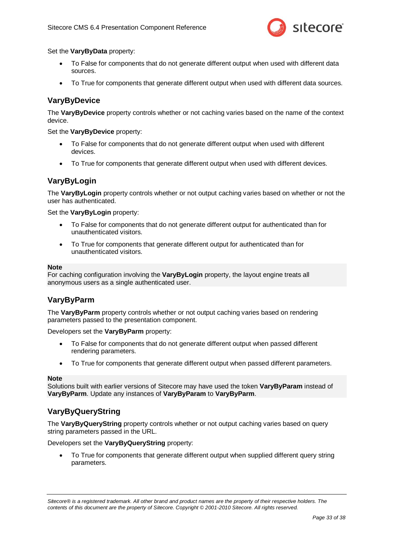

Set the **VaryByData** property:

- To False for components that do not generate different output when used with different data sources.
- To True for components that generate different output when used with different data sources.

#### <span id="page-32-0"></span>**VaryByDevice**

The **VaryByDevice** property controls whether or not caching varies based on the name of the context device.

Set the **VaryByDevice** property:

- To False for components that do not generate different output when used with different devices.
- To True for components that generate different output when used with different devices.

### <span id="page-32-1"></span>**VaryByLogin**

The **VaryByLogin** property controls whether or not output caching varies based on whether or not the user has authenticated.

Set the **VaryByLogin** property:

- To False for components that do not generate different output for authenticated than for unauthenticated visitors.
- To True for components that generate different output for authenticated than for unauthenticated visitors.

#### **Note**

For caching configuration involving the **VaryByLogin** property, the layout engine treats all anonymous users as a single authenticated user.

#### <span id="page-32-2"></span>**VaryByParm**

The **VaryByParm** property controls whether or not output caching varies based on rendering parameters passed to the presentation component.

Developers set the **VaryByParm** property:

- To False for components that do not generate different output when passed different rendering parameters.
- To True for components that generate different output when passed different parameters.

#### **Note**

Solutions built with earlier versions of Sitecore may have used the token **VaryByParam** instead of **VaryByParm**. Update any instances of **VaryByParam** to **VaryByParm**.

#### <span id="page-32-3"></span>**VaryByQueryString**

The **VaryByQueryString** property controls whether or not output caching varies based on query string parameters passed in the URL.

Developers set the **VaryByQueryString** property:

 To True for components that generate different output when supplied different query string parameters.

*Sitecore® is a registered trademark. All other brand and product names are the property of their respective holders. The contents of this document are the property of Sitecore. Copyright © 2001-2010 Sitecore. All rights reserved.*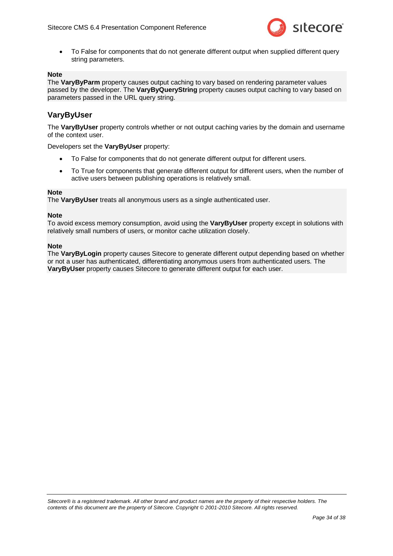

 To False for components that do not generate different output when supplied different query string parameters.

#### **Note**

The **VaryByParm** property causes output caching to vary based on rendering parameter values passed by the developer. The **VaryByQueryString** property causes output caching to vary based on parameters passed in the URL query string.

### <span id="page-33-0"></span>**VaryByUser**

The **VaryByUser** property controls whether or not output caching varies by the domain and username of the context user.

Developers set the **VaryByUser** property:

- To False for components that do not generate different output for different users.
- To True for components that generate different output for different users, when the number of active users between publishing operations is relatively small.

#### **Note**

The **VaryByUser** treats all anonymous users as a single authenticated user.

#### **Note**

To avoid excess memory consumption, avoid using the **VaryByUser** property except in solutions with relatively small numbers of users, or monitor cache utilization closely.

#### **Note**

The **VaryByLogin** property causes Sitecore to generate different output depending based on whether or not a user has authenticated, differentiating anonymous users from authenticated users. The **VaryByUser** property causes Sitecore to generate different output for each user.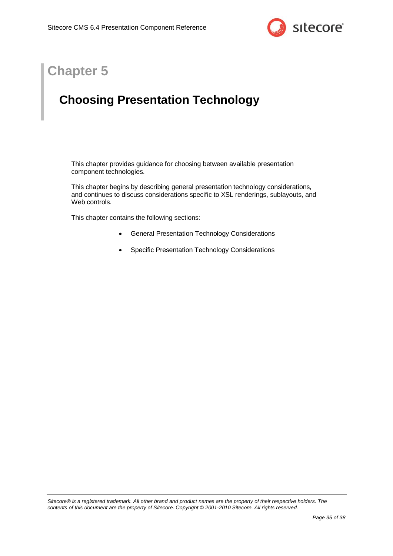

# **Chapter 5**

# <span id="page-34-0"></span>**Choosing Presentation Technology**

This chapter provides guidance for choosing between available presentation component technologies.

This chapter begins by describing general presentation technology considerations, and continues to discuss considerations specific to XSL renderings, sublayouts, and Web controls.

This chapter contains the following sections:

- [General Presentation Technology Considerations](#page-35-0)
- [Specific Presentation Technology Considerations](#page-36-0)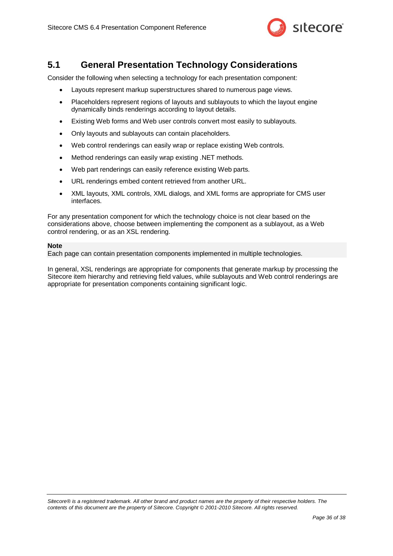

### <span id="page-35-0"></span>**5.1 General Presentation Technology Considerations**

Consider the following when selecting a technology for each presentation component:

- Layouts represent markup superstructures shared to numerous page views.
- Placeholders represent regions of layouts and sublayouts to which the layout engine dynamically binds renderings according to layout details.
- Existing Web forms and Web user controls convert most easily to sublayouts.
- Only layouts and sublayouts can contain placeholders.
- Web control renderings can easily wrap or replace existing Web controls.
- Method renderings can easily wrap existing .NET methods.
- Web part renderings can easily reference existing Web parts.
- URL renderings embed content retrieved from another URL.
- XML layouts, XML controls, XML dialogs, and XML forms are appropriate for CMS user interfaces.

For any presentation component for which the technology choice is not clear based on the considerations above, choose between implementing the component as a sublayout, as a Web control rendering, or as an XSL rendering.

#### **Note**

Each page can contain presentation components implemented in multiple technologies.

In general, XSL renderings are appropriate for components that generate markup by processing the Sitecore item hierarchy and retrieving field values, while sublayouts and Web control renderings are appropriate for presentation components containing significant logic.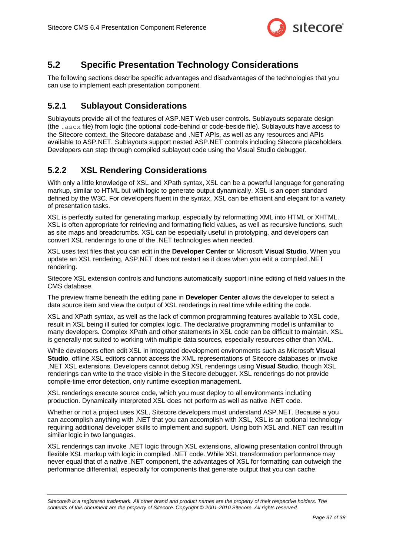

### <span id="page-36-0"></span>**5.2 Specific Presentation Technology Considerations**

The following sections describe specific advantages and disadvantages of the technologies that you can use to implement each presentation component.

### <span id="page-36-1"></span>**5.2.1 Sublayout Considerations**

Sublayouts provide all of the features of ASP.NET Web user controls. Sublayouts separate design (the .ascx file) from logic (the optional code-behind or code-beside file). Sublayouts have access to the Sitecore context, the Sitecore database and .NET APIs, as well as any resources and APIs available to ASP.NET. Sublayouts support nested ASP.NET controls including Sitecore placeholders. Developers can step through compiled sublayout code using the Visual Studio debugger.

### <span id="page-36-2"></span>**5.2.2 XSL Rendering Considerations**

With only a little knowledge of XSL and XPath syntax, XSL can be a powerful language for generating markup, similar to HTML but with logic to generate output dynamically. XSL is an open standard defined by the W3C. For developers fluent in the syntax, XSL can be efficient and elegant for a variety of presentation tasks.

XSL is perfectly suited for generating markup, especially by reformatting XML into HTML or XHTML. XSL is often appropriate for retrieving and formatting field values, as well as recursive functions, such as site maps and breadcrumbs. XSL can be especially useful in prototyping, and developers can convert XSL renderings to one of the .NET technologies when needed.

XSL uses text files that you can edit in the **Developer Center** or Microsoft **Visual Studio**. When you update an XSL rendering, ASP.NET does not restart as it does when you edit a compiled .NET rendering.

Sitecore XSL extension controls and functions automatically support inline editing of field values in the CMS database.

The preview frame beneath the editing pane in **Developer Center** allows the developer to select a data source item and view the output of XSL renderings in real time while editing the code.

XSL and XPath syntax, as well as the lack of common programming features available to XSL code, result in XSL being ill suited for complex logic. The declarative programming model is unfamiliar to many developers. Complex XPath and other statements in XSL code can be difficult to maintain. XSL is generally not suited to working with multiple data sources, especially resources other than XML.

While developers often edit XSL in integrated development environments such as Microsoft **Visual Studio**, offline XSL editors cannot access the XML representations of Sitecore databases or invoke .NET XSL extensions. Developers cannot debug XSL renderings using **Visual Studio**, though XSL renderings can write to the trace visible in the Sitecore debugger. XSL renderings do not provide compile-time error detection, only runtime exception management.

XSL renderings execute source code, which you must deploy to all environments including production. Dynamically interpreted XSL does not perform as well as native .NET code.

Whether or not a project uses XSL, Sitecore developers must understand ASP.NET. Because a you can accomplish anything with .NET that you can accomplish with XSL, XSL is an optional technology requiring additional developer skills to implement and support. Using both XSL and .NET can result in similar logic in two languages.

XSL renderings can invoke .NET logic through XSL extensions, allowing presentation control through flexible XSL markup with logic in compiled .NET code. While XSL transformation performance may never equal that of a native .NET component, the advantages of XSL for formatting can outweigh the performance differential, especially for components that generate output that you can cache.

*Sitecore® is a registered trademark. All other brand and product names are the property of their respective holders. The contents of this document are the property of Sitecore. Copyright © 2001-2010 Sitecore. All rights reserved.*